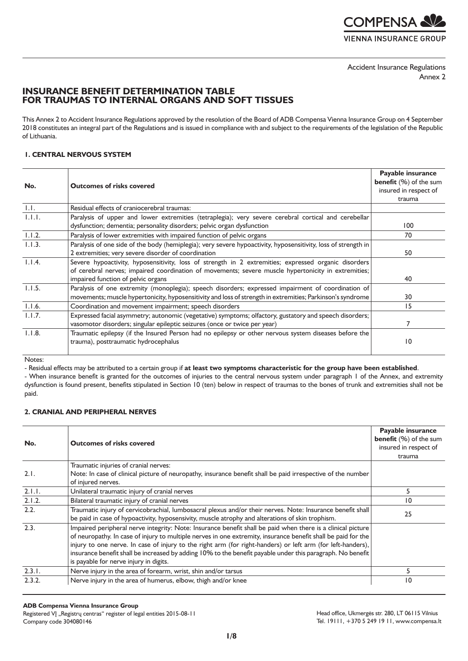**COMPENSA AV VIENNA INSURANCE GROUP** 

Accident Insurance Regulations Annex 2

# **INSURANCE BENEFIT DETERMINATION TABLE FOR TRAUMAS TO INTERNAL ORGANS AND SOFT TISSUES**

This Annex 2 to Accident Insurance Regulations approved by the resolution of the Board of ADB Compensa Vienna Insurance Group on 4 September 2018 constitutes an integral part of the Regulations and is issued in compliance with and subject to the requirements of the legislation of the Republic of Lithuania.

#### **1. CENTRAL NERVOUS SYSTEM**

| No.    | <b>Outcomes of risks covered</b>                                                                                                                                                                                                                  | Payable insurance<br><b>benefit</b> (%) of the sum<br>insured in respect of |
|--------|---------------------------------------------------------------------------------------------------------------------------------------------------------------------------------------------------------------------------------------------------|-----------------------------------------------------------------------------|
|        |                                                                                                                                                                                                                                                   | trauma                                                                      |
| 1.1.   | Residual effects of craniocerebral traumas:                                                                                                                                                                                                       |                                                                             |
| 1.1.1. | Paralysis of upper and lower extremities (tetraplegia); very severe cerebral cortical and cerebellar                                                                                                                                              |                                                                             |
|        | dysfunction; dementia; personality disorders; pelvic organ dysfunction                                                                                                                                                                            | 100                                                                         |
| 1.1.2. | Paralysis of lower extremities with impaired function of pelvic organs                                                                                                                                                                            | 70                                                                          |
| 1.1.3. | Paralysis of one side of the body (hemiplegia); very severe hypoactivity, hyposensitivity, loss of strength in<br>2 extremities; very severe disorder of coordination                                                                             | 50                                                                          |
| 1.1.4. | Severe hypoactivity, hyposensitivity, loss of strength in 2 extremities; expressed organic disorders<br>of cerebral nerves; impaired coordination of movements; severe muscle hypertonicity in extremities;<br>impaired function of pelvic organs | 40                                                                          |
| 1.1.5. | Paralysis of one extremity (monoplegia); speech disorders; expressed impairment of coordination of                                                                                                                                                |                                                                             |
|        | movements; muscle hypertonicity, hyposensitivity and loss of strength in extremities; Parkinson's syndrome                                                                                                                                        | 30                                                                          |
| 1.1.6. | Coordination and movement impairment; speech disorders                                                                                                                                                                                            | 15                                                                          |
| 1.1.7. | Expressed facial asymmetry; autonomic (vegetative) symptoms; olfactory, gustatory and speech disorders;<br>vasomotor disorders; singular epileptic seizures (once or twice per year)                                                              | 7                                                                           |
| 1.1.8. | Traumatic epilepsy (if the Insured Person had no epilepsy or other nervous system diseases before the<br>trauma), posttraumatic hydrocephalus                                                                                                     | $\overline{0}$                                                              |

Notes:

- Residual effects may be attributed to a certain group if **at least two symptoms characteristic for the group have been established**.

- When insurance benefit is granted for the outcomes of injuries to the central nervous system under paragraph 1 of the Annex, and extremity dysfunction is found present, benefits stipulated in Section 10 (ten) below in respect of traumas to the bones of trunk and extremities shall not be paid.

### **2. CRANIAL AND PERIPHERAL NERVES**

| No.    | <b>Outcomes of risks covered</b>                                                                                                                                                                                                                                                                                                                                                                                                                                                                    | Payable insurance<br><b>benefit</b> (%) of the sum<br>insured in respect of<br>trauma |
|--------|-----------------------------------------------------------------------------------------------------------------------------------------------------------------------------------------------------------------------------------------------------------------------------------------------------------------------------------------------------------------------------------------------------------------------------------------------------------------------------------------------------|---------------------------------------------------------------------------------------|
| 2.1.   | Traumatic injuries of cranial nerves:<br>Note: In case of clinical picture of neuropathy, insurance benefit shall be paid irrespective of the number<br>of injured nerves.                                                                                                                                                                                                                                                                                                                          |                                                                                       |
| 2.1.1. | Unilateral traumatic injury of cranial nerves                                                                                                                                                                                                                                                                                                                                                                                                                                                       | 5                                                                                     |
| 2.1.2. | Bilateral traumatic injury of cranial nerves                                                                                                                                                                                                                                                                                                                                                                                                                                                        | 10                                                                                    |
| 2.2.   | Traumatic injury of cervicobrachial, lumbosacral plexus and/or their nerves. Note: Insurance benefit shall<br>be paid in case of hypoactivity, hyposensivity, muscle atrophy and alterations of skin trophism.                                                                                                                                                                                                                                                                                      | 25                                                                                    |
| 2.3.   | Impaired peripheral nerve integrity: Note: Insurance benefit shall be paid when there is a clinical picture<br>of neuropathy. In case of injury to multiple nerves in one extremity, insurance benefit shall be paid for the<br>injury to one nerve. In case of injury to the right arm (for right-handers) or left arm (for left-handers),<br>insurance benefit shall be increased by adding 10% to the benefit payable under this paragraph. No benefit<br>is payable for nerve injury in digits. |                                                                                       |
| 2.3.1. | Nerve injury in the area of forearm, wrist, shin and/or tarsus                                                                                                                                                                                                                                                                                                                                                                                                                                      | 5                                                                                     |
| 2.3.2. | Nerve injury in the area of humerus, elbow, thigh and/or knee                                                                                                                                                                                                                                                                                                                                                                                                                                       | $\overline{0}$                                                                        |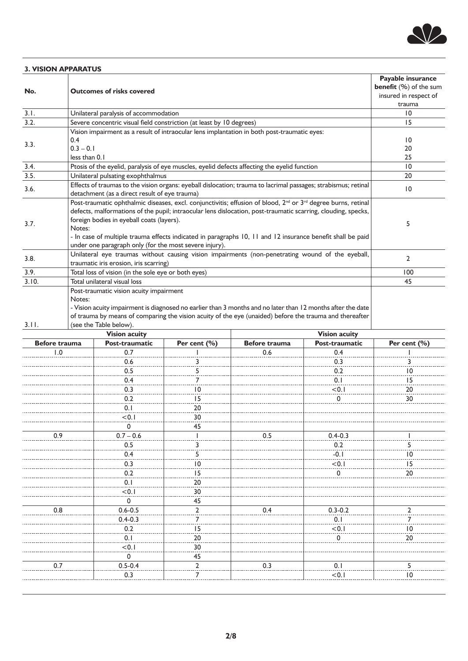

# **3. VISION APPARATUS**

| <b>Outcomes of risks covered</b><br>No.<br>insured in respect of<br>trauma<br>3.1.<br>Unilateral paralysis of accommodation<br>10<br>3.2.<br>Severe concentric visual field constriction (at least by 10 degrees)<br>15<br>Vision impairment as a result of intraocular lens implantation in both post-traumatic eyes:<br>0.4<br>$\overline{10}$<br>3.3.<br>$0.3 - 0.1$<br>20<br>25<br>less than 0.1<br>3.4.<br>Ptosis of the eyelid, paralysis of eye muscles, eyelid defects affecting the eyelid function<br>$\overline{10}$<br>3.5.<br>Unilateral pulsating exophthalmus<br>20<br>Effects of traumas to the vision organs: eyeball dislocation; trauma to lacrimal passages; strabismus; retinal<br>3.6.<br>$\overline{10}$<br>detachment (as a direct result of eye trauma)<br>Post-traumatic ophthalmic diseases, excl. conjunctivitis; effusion of blood, 2 <sup>nd</sup> or 3 <sup>rd</sup> degree burns, retinal<br>defects, malformations of the pupil; intraocular lens dislocation, post-traumatic scarring, clouding, specks,<br>foreign bodies in eyeball coats (layers).<br>3.7.<br>5<br>Notes:<br>- In case of multiple trauma effects indicated in paragraphs 10, 11 and 12 insurance benefit shall be paid<br>under one paragraph only (for the most severe injury).<br>Unilateral eye traumas without causing vision impairments (non-penetrating wound of the eyeball,<br>$\overline{2}$<br>3.8.<br>traumatic iris erosion, iris scarring)<br>3.9.<br>Total loss of vision (in the sole eye or both eyes)<br>100<br>Total unilateral visual loss<br>45<br>3.10.<br>Post-traumatic vision acuity impairment<br>Notes:<br>- Vision acuity impairment is diagnosed no earlier than 3 months and no later than 12 months after the date<br>of trauma by means of comparing the vision acuity of the eye (unaided) before the trauma and thereafter<br>3.11.<br>(see the Table below).<br><b>Vision acuity</b><br><b>Vision acuity</b><br><b>Before trauma</b><br>Post-traumatic<br>Per cent (%)<br><b>Before trauma</b><br>Post-traumatic<br>Per cent (%)<br>0.7<br>0.4<br>$\mathsf{L}0$<br>0.6<br>0.3<br>0.6<br>3<br>3<br>0.5<br>5<br>0.2<br>10<br>7<br>0.1<br>15<br>0.4<br>0.3<br>10<br>< 0.1<br>20<br>0.2<br>15<br>0<br>30<br>0.1<br>20<br>< 0.1<br>30<br>45<br>0<br>$0.7 - 0.6$<br>0.5<br>$0.4 - 0.3$<br>0.9<br>0.5<br>0.2<br>3<br>5<br>0.4<br>$-0.1$<br>5<br>10<br>0.3<br>10<br>< 0.1<br>15<br>0.2<br>15<br>0<br>20<br>0.1<br>20<br>$<$ 0.1<br>30<br>0<br>45<br>$0.6 - 0.5$<br>2<br>0.4<br>$0.3 - 0.2$<br>0.8<br>2<br>$0.4 - 0.3$<br>0.1<br>7<br>15<br>0.2<br>$<$ 0.1<br>10<br>0.1<br>20<br>0<br>20<br><0.1<br>30<br>45<br>0<br>$0.5 - 0.4$<br>$\overline{2}$<br>5<br>0.7<br>0.3<br>0.1<br>0.3<br>$<$ 0.1 $\,$<br>10 |  |  |  |  |  | Payable insurance      |  |
|-------------------------------------------------------------------------------------------------------------------------------------------------------------------------------------------------------------------------------------------------------------------------------------------------------------------------------------------------------------------------------------------------------------------------------------------------------------------------------------------------------------------------------------------------------------------------------------------------------------------------------------------------------------------------------------------------------------------------------------------------------------------------------------------------------------------------------------------------------------------------------------------------------------------------------------------------------------------------------------------------------------------------------------------------------------------------------------------------------------------------------------------------------------------------------------------------------------------------------------------------------------------------------------------------------------------------------------------------------------------------------------------------------------------------------------------------------------------------------------------------------------------------------------------------------------------------------------------------------------------------------------------------------------------------------------------------------------------------------------------------------------------------------------------------------------------------------------------------------------------------------------------------------------------------------------------------------------------------------------------------------------------------------------------------------------------------------------------------------------------------------------------------------------------------------------------------------------------------------------------------------------------------------------------------------------------------------------------------------------------------------------------------------------------------------------------------------------------------------------------------------------------------------------------------------------------------------------------------------------------------------------------------------------------------------------------------------------------------------------------|--|--|--|--|--|------------------------|--|
|                                                                                                                                                                                                                                                                                                                                                                                                                                                                                                                                                                                                                                                                                                                                                                                                                                                                                                                                                                                                                                                                                                                                                                                                                                                                                                                                                                                                                                                                                                                                                                                                                                                                                                                                                                                                                                                                                                                                                                                                                                                                                                                                                                                                                                                                                                                                                                                                                                                                                                                                                                                                                                                                                                                                           |  |  |  |  |  | benefit (%) of the sum |  |
|                                                                                                                                                                                                                                                                                                                                                                                                                                                                                                                                                                                                                                                                                                                                                                                                                                                                                                                                                                                                                                                                                                                                                                                                                                                                                                                                                                                                                                                                                                                                                                                                                                                                                                                                                                                                                                                                                                                                                                                                                                                                                                                                                                                                                                                                                                                                                                                                                                                                                                                                                                                                                                                                                                                                           |  |  |  |  |  |                        |  |
|                                                                                                                                                                                                                                                                                                                                                                                                                                                                                                                                                                                                                                                                                                                                                                                                                                                                                                                                                                                                                                                                                                                                                                                                                                                                                                                                                                                                                                                                                                                                                                                                                                                                                                                                                                                                                                                                                                                                                                                                                                                                                                                                                                                                                                                                                                                                                                                                                                                                                                                                                                                                                                                                                                                                           |  |  |  |  |  |                        |  |
|                                                                                                                                                                                                                                                                                                                                                                                                                                                                                                                                                                                                                                                                                                                                                                                                                                                                                                                                                                                                                                                                                                                                                                                                                                                                                                                                                                                                                                                                                                                                                                                                                                                                                                                                                                                                                                                                                                                                                                                                                                                                                                                                                                                                                                                                                                                                                                                                                                                                                                                                                                                                                                                                                                                                           |  |  |  |  |  |                        |  |
|                                                                                                                                                                                                                                                                                                                                                                                                                                                                                                                                                                                                                                                                                                                                                                                                                                                                                                                                                                                                                                                                                                                                                                                                                                                                                                                                                                                                                                                                                                                                                                                                                                                                                                                                                                                                                                                                                                                                                                                                                                                                                                                                                                                                                                                                                                                                                                                                                                                                                                                                                                                                                                                                                                                                           |  |  |  |  |  |                        |  |
|                                                                                                                                                                                                                                                                                                                                                                                                                                                                                                                                                                                                                                                                                                                                                                                                                                                                                                                                                                                                                                                                                                                                                                                                                                                                                                                                                                                                                                                                                                                                                                                                                                                                                                                                                                                                                                                                                                                                                                                                                                                                                                                                                                                                                                                                                                                                                                                                                                                                                                                                                                                                                                                                                                                                           |  |  |  |  |  |                        |  |
|                                                                                                                                                                                                                                                                                                                                                                                                                                                                                                                                                                                                                                                                                                                                                                                                                                                                                                                                                                                                                                                                                                                                                                                                                                                                                                                                                                                                                                                                                                                                                                                                                                                                                                                                                                                                                                                                                                                                                                                                                                                                                                                                                                                                                                                                                                                                                                                                                                                                                                                                                                                                                                                                                                                                           |  |  |  |  |  |                        |  |
|                                                                                                                                                                                                                                                                                                                                                                                                                                                                                                                                                                                                                                                                                                                                                                                                                                                                                                                                                                                                                                                                                                                                                                                                                                                                                                                                                                                                                                                                                                                                                                                                                                                                                                                                                                                                                                                                                                                                                                                                                                                                                                                                                                                                                                                                                                                                                                                                                                                                                                                                                                                                                                                                                                                                           |  |  |  |  |  |                        |  |
|                                                                                                                                                                                                                                                                                                                                                                                                                                                                                                                                                                                                                                                                                                                                                                                                                                                                                                                                                                                                                                                                                                                                                                                                                                                                                                                                                                                                                                                                                                                                                                                                                                                                                                                                                                                                                                                                                                                                                                                                                                                                                                                                                                                                                                                                                                                                                                                                                                                                                                                                                                                                                                                                                                                                           |  |  |  |  |  |                        |  |
|                                                                                                                                                                                                                                                                                                                                                                                                                                                                                                                                                                                                                                                                                                                                                                                                                                                                                                                                                                                                                                                                                                                                                                                                                                                                                                                                                                                                                                                                                                                                                                                                                                                                                                                                                                                                                                                                                                                                                                                                                                                                                                                                                                                                                                                                                                                                                                                                                                                                                                                                                                                                                                                                                                                                           |  |  |  |  |  |                        |  |
|                                                                                                                                                                                                                                                                                                                                                                                                                                                                                                                                                                                                                                                                                                                                                                                                                                                                                                                                                                                                                                                                                                                                                                                                                                                                                                                                                                                                                                                                                                                                                                                                                                                                                                                                                                                                                                                                                                                                                                                                                                                                                                                                                                                                                                                                                                                                                                                                                                                                                                                                                                                                                                                                                                                                           |  |  |  |  |  |                        |  |
|                                                                                                                                                                                                                                                                                                                                                                                                                                                                                                                                                                                                                                                                                                                                                                                                                                                                                                                                                                                                                                                                                                                                                                                                                                                                                                                                                                                                                                                                                                                                                                                                                                                                                                                                                                                                                                                                                                                                                                                                                                                                                                                                                                                                                                                                                                                                                                                                                                                                                                                                                                                                                                                                                                                                           |  |  |  |  |  |                        |  |
|                                                                                                                                                                                                                                                                                                                                                                                                                                                                                                                                                                                                                                                                                                                                                                                                                                                                                                                                                                                                                                                                                                                                                                                                                                                                                                                                                                                                                                                                                                                                                                                                                                                                                                                                                                                                                                                                                                                                                                                                                                                                                                                                                                                                                                                                                                                                                                                                                                                                                                                                                                                                                                                                                                                                           |  |  |  |  |  |                        |  |
|                                                                                                                                                                                                                                                                                                                                                                                                                                                                                                                                                                                                                                                                                                                                                                                                                                                                                                                                                                                                                                                                                                                                                                                                                                                                                                                                                                                                                                                                                                                                                                                                                                                                                                                                                                                                                                                                                                                                                                                                                                                                                                                                                                                                                                                                                                                                                                                                                                                                                                                                                                                                                                                                                                                                           |  |  |  |  |  |                        |  |
|                                                                                                                                                                                                                                                                                                                                                                                                                                                                                                                                                                                                                                                                                                                                                                                                                                                                                                                                                                                                                                                                                                                                                                                                                                                                                                                                                                                                                                                                                                                                                                                                                                                                                                                                                                                                                                                                                                                                                                                                                                                                                                                                                                                                                                                                                                                                                                                                                                                                                                                                                                                                                                                                                                                                           |  |  |  |  |  |                        |  |
|                                                                                                                                                                                                                                                                                                                                                                                                                                                                                                                                                                                                                                                                                                                                                                                                                                                                                                                                                                                                                                                                                                                                                                                                                                                                                                                                                                                                                                                                                                                                                                                                                                                                                                                                                                                                                                                                                                                                                                                                                                                                                                                                                                                                                                                                                                                                                                                                                                                                                                                                                                                                                                                                                                                                           |  |  |  |  |  |                        |  |
|                                                                                                                                                                                                                                                                                                                                                                                                                                                                                                                                                                                                                                                                                                                                                                                                                                                                                                                                                                                                                                                                                                                                                                                                                                                                                                                                                                                                                                                                                                                                                                                                                                                                                                                                                                                                                                                                                                                                                                                                                                                                                                                                                                                                                                                                                                                                                                                                                                                                                                                                                                                                                                                                                                                                           |  |  |  |  |  |                        |  |
|                                                                                                                                                                                                                                                                                                                                                                                                                                                                                                                                                                                                                                                                                                                                                                                                                                                                                                                                                                                                                                                                                                                                                                                                                                                                                                                                                                                                                                                                                                                                                                                                                                                                                                                                                                                                                                                                                                                                                                                                                                                                                                                                                                                                                                                                                                                                                                                                                                                                                                                                                                                                                                                                                                                                           |  |  |  |  |  |                        |  |
|                                                                                                                                                                                                                                                                                                                                                                                                                                                                                                                                                                                                                                                                                                                                                                                                                                                                                                                                                                                                                                                                                                                                                                                                                                                                                                                                                                                                                                                                                                                                                                                                                                                                                                                                                                                                                                                                                                                                                                                                                                                                                                                                                                                                                                                                                                                                                                                                                                                                                                                                                                                                                                                                                                                                           |  |  |  |  |  |                        |  |
|                                                                                                                                                                                                                                                                                                                                                                                                                                                                                                                                                                                                                                                                                                                                                                                                                                                                                                                                                                                                                                                                                                                                                                                                                                                                                                                                                                                                                                                                                                                                                                                                                                                                                                                                                                                                                                                                                                                                                                                                                                                                                                                                                                                                                                                                                                                                                                                                                                                                                                                                                                                                                                                                                                                                           |  |  |  |  |  |                        |  |
|                                                                                                                                                                                                                                                                                                                                                                                                                                                                                                                                                                                                                                                                                                                                                                                                                                                                                                                                                                                                                                                                                                                                                                                                                                                                                                                                                                                                                                                                                                                                                                                                                                                                                                                                                                                                                                                                                                                                                                                                                                                                                                                                                                                                                                                                                                                                                                                                                                                                                                                                                                                                                                                                                                                                           |  |  |  |  |  |                        |  |
|                                                                                                                                                                                                                                                                                                                                                                                                                                                                                                                                                                                                                                                                                                                                                                                                                                                                                                                                                                                                                                                                                                                                                                                                                                                                                                                                                                                                                                                                                                                                                                                                                                                                                                                                                                                                                                                                                                                                                                                                                                                                                                                                                                                                                                                                                                                                                                                                                                                                                                                                                                                                                                                                                                                                           |  |  |  |  |  |                        |  |
|                                                                                                                                                                                                                                                                                                                                                                                                                                                                                                                                                                                                                                                                                                                                                                                                                                                                                                                                                                                                                                                                                                                                                                                                                                                                                                                                                                                                                                                                                                                                                                                                                                                                                                                                                                                                                                                                                                                                                                                                                                                                                                                                                                                                                                                                                                                                                                                                                                                                                                                                                                                                                                                                                                                                           |  |  |  |  |  |                        |  |
|                                                                                                                                                                                                                                                                                                                                                                                                                                                                                                                                                                                                                                                                                                                                                                                                                                                                                                                                                                                                                                                                                                                                                                                                                                                                                                                                                                                                                                                                                                                                                                                                                                                                                                                                                                                                                                                                                                                                                                                                                                                                                                                                                                                                                                                                                                                                                                                                                                                                                                                                                                                                                                                                                                                                           |  |  |  |  |  |                        |  |
|                                                                                                                                                                                                                                                                                                                                                                                                                                                                                                                                                                                                                                                                                                                                                                                                                                                                                                                                                                                                                                                                                                                                                                                                                                                                                                                                                                                                                                                                                                                                                                                                                                                                                                                                                                                                                                                                                                                                                                                                                                                                                                                                                                                                                                                                                                                                                                                                                                                                                                                                                                                                                                                                                                                                           |  |  |  |  |  |                        |  |
|                                                                                                                                                                                                                                                                                                                                                                                                                                                                                                                                                                                                                                                                                                                                                                                                                                                                                                                                                                                                                                                                                                                                                                                                                                                                                                                                                                                                                                                                                                                                                                                                                                                                                                                                                                                                                                                                                                                                                                                                                                                                                                                                                                                                                                                                                                                                                                                                                                                                                                                                                                                                                                                                                                                                           |  |  |  |  |  |                        |  |
|                                                                                                                                                                                                                                                                                                                                                                                                                                                                                                                                                                                                                                                                                                                                                                                                                                                                                                                                                                                                                                                                                                                                                                                                                                                                                                                                                                                                                                                                                                                                                                                                                                                                                                                                                                                                                                                                                                                                                                                                                                                                                                                                                                                                                                                                                                                                                                                                                                                                                                                                                                                                                                                                                                                                           |  |  |  |  |  |                        |  |
|                                                                                                                                                                                                                                                                                                                                                                                                                                                                                                                                                                                                                                                                                                                                                                                                                                                                                                                                                                                                                                                                                                                                                                                                                                                                                                                                                                                                                                                                                                                                                                                                                                                                                                                                                                                                                                                                                                                                                                                                                                                                                                                                                                                                                                                                                                                                                                                                                                                                                                                                                                                                                                                                                                                                           |  |  |  |  |  |                        |  |
|                                                                                                                                                                                                                                                                                                                                                                                                                                                                                                                                                                                                                                                                                                                                                                                                                                                                                                                                                                                                                                                                                                                                                                                                                                                                                                                                                                                                                                                                                                                                                                                                                                                                                                                                                                                                                                                                                                                                                                                                                                                                                                                                                                                                                                                                                                                                                                                                                                                                                                                                                                                                                                                                                                                                           |  |  |  |  |  |                        |  |
|                                                                                                                                                                                                                                                                                                                                                                                                                                                                                                                                                                                                                                                                                                                                                                                                                                                                                                                                                                                                                                                                                                                                                                                                                                                                                                                                                                                                                                                                                                                                                                                                                                                                                                                                                                                                                                                                                                                                                                                                                                                                                                                                                                                                                                                                                                                                                                                                                                                                                                                                                                                                                                                                                                                                           |  |  |  |  |  |                        |  |
|                                                                                                                                                                                                                                                                                                                                                                                                                                                                                                                                                                                                                                                                                                                                                                                                                                                                                                                                                                                                                                                                                                                                                                                                                                                                                                                                                                                                                                                                                                                                                                                                                                                                                                                                                                                                                                                                                                                                                                                                                                                                                                                                                                                                                                                                                                                                                                                                                                                                                                                                                                                                                                                                                                                                           |  |  |  |  |  |                        |  |
|                                                                                                                                                                                                                                                                                                                                                                                                                                                                                                                                                                                                                                                                                                                                                                                                                                                                                                                                                                                                                                                                                                                                                                                                                                                                                                                                                                                                                                                                                                                                                                                                                                                                                                                                                                                                                                                                                                                                                                                                                                                                                                                                                                                                                                                                                                                                                                                                                                                                                                                                                                                                                                                                                                                                           |  |  |  |  |  |                        |  |
|                                                                                                                                                                                                                                                                                                                                                                                                                                                                                                                                                                                                                                                                                                                                                                                                                                                                                                                                                                                                                                                                                                                                                                                                                                                                                                                                                                                                                                                                                                                                                                                                                                                                                                                                                                                                                                                                                                                                                                                                                                                                                                                                                                                                                                                                                                                                                                                                                                                                                                                                                                                                                                                                                                                                           |  |  |  |  |  |                        |  |
|                                                                                                                                                                                                                                                                                                                                                                                                                                                                                                                                                                                                                                                                                                                                                                                                                                                                                                                                                                                                                                                                                                                                                                                                                                                                                                                                                                                                                                                                                                                                                                                                                                                                                                                                                                                                                                                                                                                                                                                                                                                                                                                                                                                                                                                                                                                                                                                                                                                                                                                                                                                                                                                                                                                                           |  |  |  |  |  |                        |  |
|                                                                                                                                                                                                                                                                                                                                                                                                                                                                                                                                                                                                                                                                                                                                                                                                                                                                                                                                                                                                                                                                                                                                                                                                                                                                                                                                                                                                                                                                                                                                                                                                                                                                                                                                                                                                                                                                                                                                                                                                                                                                                                                                                                                                                                                                                                                                                                                                                                                                                                                                                                                                                                                                                                                                           |  |  |  |  |  |                        |  |
|                                                                                                                                                                                                                                                                                                                                                                                                                                                                                                                                                                                                                                                                                                                                                                                                                                                                                                                                                                                                                                                                                                                                                                                                                                                                                                                                                                                                                                                                                                                                                                                                                                                                                                                                                                                                                                                                                                                                                                                                                                                                                                                                                                                                                                                                                                                                                                                                                                                                                                                                                                                                                                                                                                                                           |  |  |  |  |  |                        |  |
|                                                                                                                                                                                                                                                                                                                                                                                                                                                                                                                                                                                                                                                                                                                                                                                                                                                                                                                                                                                                                                                                                                                                                                                                                                                                                                                                                                                                                                                                                                                                                                                                                                                                                                                                                                                                                                                                                                                                                                                                                                                                                                                                                                                                                                                                                                                                                                                                                                                                                                                                                                                                                                                                                                                                           |  |  |  |  |  |                        |  |
|                                                                                                                                                                                                                                                                                                                                                                                                                                                                                                                                                                                                                                                                                                                                                                                                                                                                                                                                                                                                                                                                                                                                                                                                                                                                                                                                                                                                                                                                                                                                                                                                                                                                                                                                                                                                                                                                                                                                                                                                                                                                                                                                                                                                                                                                                                                                                                                                                                                                                                                                                                                                                                                                                                                                           |  |  |  |  |  |                        |  |
|                                                                                                                                                                                                                                                                                                                                                                                                                                                                                                                                                                                                                                                                                                                                                                                                                                                                                                                                                                                                                                                                                                                                                                                                                                                                                                                                                                                                                                                                                                                                                                                                                                                                                                                                                                                                                                                                                                                                                                                                                                                                                                                                                                                                                                                                                                                                                                                                                                                                                                                                                                                                                                                                                                                                           |  |  |  |  |  |                        |  |
|                                                                                                                                                                                                                                                                                                                                                                                                                                                                                                                                                                                                                                                                                                                                                                                                                                                                                                                                                                                                                                                                                                                                                                                                                                                                                                                                                                                                                                                                                                                                                                                                                                                                                                                                                                                                                                                                                                                                                                                                                                                                                                                                                                                                                                                                                                                                                                                                                                                                                                                                                                                                                                                                                                                                           |  |  |  |  |  |                        |  |
|                                                                                                                                                                                                                                                                                                                                                                                                                                                                                                                                                                                                                                                                                                                                                                                                                                                                                                                                                                                                                                                                                                                                                                                                                                                                                                                                                                                                                                                                                                                                                                                                                                                                                                                                                                                                                                                                                                                                                                                                                                                                                                                                                                                                                                                                                                                                                                                                                                                                                                                                                                                                                                                                                                                                           |  |  |  |  |  |                        |  |
|                                                                                                                                                                                                                                                                                                                                                                                                                                                                                                                                                                                                                                                                                                                                                                                                                                                                                                                                                                                                                                                                                                                                                                                                                                                                                                                                                                                                                                                                                                                                                                                                                                                                                                                                                                                                                                                                                                                                                                                                                                                                                                                                                                                                                                                                                                                                                                                                                                                                                                                                                                                                                                                                                                                                           |  |  |  |  |  |                        |  |
|                                                                                                                                                                                                                                                                                                                                                                                                                                                                                                                                                                                                                                                                                                                                                                                                                                                                                                                                                                                                                                                                                                                                                                                                                                                                                                                                                                                                                                                                                                                                                                                                                                                                                                                                                                                                                                                                                                                                                                                                                                                                                                                                                                                                                                                                                                                                                                                                                                                                                                                                                                                                                                                                                                                                           |  |  |  |  |  |                        |  |
|                                                                                                                                                                                                                                                                                                                                                                                                                                                                                                                                                                                                                                                                                                                                                                                                                                                                                                                                                                                                                                                                                                                                                                                                                                                                                                                                                                                                                                                                                                                                                                                                                                                                                                                                                                                                                                                                                                                                                                                                                                                                                                                                                                                                                                                                                                                                                                                                                                                                                                                                                                                                                                                                                                                                           |  |  |  |  |  |                        |  |
|                                                                                                                                                                                                                                                                                                                                                                                                                                                                                                                                                                                                                                                                                                                                                                                                                                                                                                                                                                                                                                                                                                                                                                                                                                                                                                                                                                                                                                                                                                                                                                                                                                                                                                                                                                                                                                                                                                                                                                                                                                                                                                                                                                                                                                                                                                                                                                                                                                                                                                                                                                                                                                                                                                                                           |  |  |  |  |  |                        |  |
|                                                                                                                                                                                                                                                                                                                                                                                                                                                                                                                                                                                                                                                                                                                                                                                                                                                                                                                                                                                                                                                                                                                                                                                                                                                                                                                                                                                                                                                                                                                                                                                                                                                                                                                                                                                                                                                                                                                                                                                                                                                                                                                                                                                                                                                                                                                                                                                                                                                                                                                                                                                                                                                                                                                                           |  |  |  |  |  |                        |  |
|                                                                                                                                                                                                                                                                                                                                                                                                                                                                                                                                                                                                                                                                                                                                                                                                                                                                                                                                                                                                                                                                                                                                                                                                                                                                                                                                                                                                                                                                                                                                                                                                                                                                                                                                                                                                                                                                                                                                                                                                                                                                                                                                                                                                                                                                                                                                                                                                                                                                                                                                                                                                                                                                                                                                           |  |  |  |  |  |                        |  |
|                                                                                                                                                                                                                                                                                                                                                                                                                                                                                                                                                                                                                                                                                                                                                                                                                                                                                                                                                                                                                                                                                                                                                                                                                                                                                                                                                                                                                                                                                                                                                                                                                                                                                                                                                                                                                                                                                                                                                                                                                                                                                                                                                                                                                                                                                                                                                                                                                                                                                                                                                                                                                                                                                                                                           |  |  |  |  |  |                        |  |
|                                                                                                                                                                                                                                                                                                                                                                                                                                                                                                                                                                                                                                                                                                                                                                                                                                                                                                                                                                                                                                                                                                                                                                                                                                                                                                                                                                                                                                                                                                                                                                                                                                                                                                                                                                                                                                                                                                                                                                                                                                                                                                                                                                                                                                                                                                                                                                                                                                                                                                                                                                                                                                                                                                                                           |  |  |  |  |  |                        |  |
|                                                                                                                                                                                                                                                                                                                                                                                                                                                                                                                                                                                                                                                                                                                                                                                                                                                                                                                                                                                                                                                                                                                                                                                                                                                                                                                                                                                                                                                                                                                                                                                                                                                                                                                                                                                                                                                                                                                                                                                                                                                                                                                                                                                                                                                                                                                                                                                                                                                                                                                                                                                                                                                                                                                                           |  |  |  |  |  |                        |  |
|                                                                                                                                                                                                                                                                                                                                                                                                                                                                                                                                                                                                                                                                                                                                                                                                                                                                                                                                                                                                                                                                                                                                                                                                                                                                                                                                                                                                                                                                                                                                                                                                                                                                                                                                                                                                                                                                                                                                                                                                                                                                                                                                                                                                                                                                                                                                                                                                                                                                                                                                                                                                                                                                                                                                           |  |  |  |  |  |                        |  |
|                                                                                                                                                                                                                                                                                                                                                                                                                                                                                                                                                                                                                                                                                                                                                                                                                                                                                                                                                                                                                                                                                                                                                                                                                                                                                                                                                                                                                                                                                                                                                                                                                                                                                                                                                                                                                                                                                                                                                                                                                                                                                                                                                                                                                                                                                                                                                                                                                                                                                                                                                                                                                                                                                                                                           |  |  |  |  |  |                        |  |
|                                                                                                                                                                                                                                                                                                                                                                                                                                                                                                                                                                                                                                                                                                                                                                                                                                                                                                                                                                                                                                                                                                                                                                                                                                                                                                                                                                                                                                                                                                                                                                                                                                                                                                                                                                                                                                                                                                                                                                                                                                                                                                                                                                                                                                                                                                                                                                                                                                                                                                                                                                                                                                                                                                                                           |  |  |  |  |  |                        |  |
|                                                                                                                                                                                                                                                                                                                                                                                                                                                                                                                                                                                                                                                                                                                                                                                                                                                                                                                                                                                                                                                                                                                                                                                                                                                                                                                                                                                                                                                                                                                                                                                                                                                                                                                                                                                                                                                                                                                                                                                                                                                                                                                                                                                                                                                                                                                                                                                                                                                                                                                                                                                                                                                                                                                                           |  |  |  |  |  |                        |  |
|                                                                                                                                                                                                                                                                                                                                                                                                                                                                                                                                                                                                                                                                                                                                                                                                                                                                                                                                                                                                                                                                                                                                                                                                                                                                                                                                                                                                                                                                                                                                                                                                                                                                                                                                                                                                                                                                                                                                                                                                                                                                                                                                                                                                                                                                                                                                                                                                                                                                                                                                                                                                                                                                                                                                           |  |  |  |  |  |                        |  |
|                                                                                                                                                                                                                                                                                                                                                                                                                                                                                                                                                                                                                                                                                                                                                                                                                                                                                                                                                                                                                                                                                                                                                                                                                                                                                                                                                                                                                                                                                                                                                                                                                                                                                                                                                                                                                                                                                                                                                                                                                                                                                                                                                                                                                                                                                                                                                                                                                                                                                                                                                                                                                                                                                                                                           |  |  |  |  |  |                        |  |
|                                                                                                                                                                                                                                                                                                                                                                                                                                                                                                                                                                                                                                                                                                                                                                                                                                                                                                                                                                                                                                                                                                                                                                                                                                                                                                                                                                                                                                                                                                                                                                                                                                                                                                                                                                                                                                                                                                                                                                                                                                                                                                                                                                                                                                                                                                                                                                                                                                                                                                                                                                                                                                                                                                                                           |  |  |  |  |  |                        |  |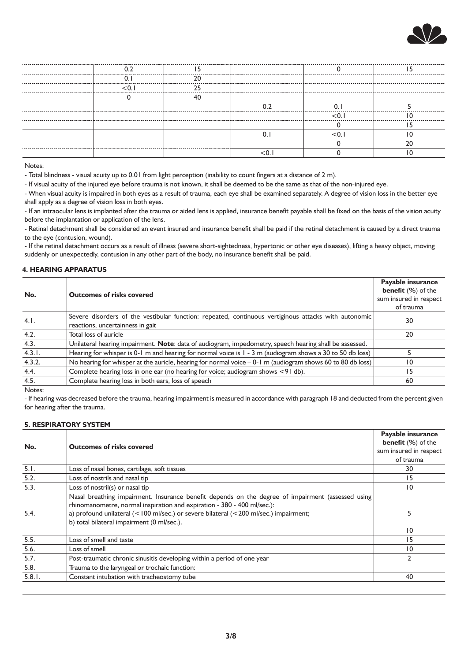

|  | 20       |  |    |
|--|----------|--|----|
|  | $\Omega$ |  |    |
|  |          |  |    |
|  |          |  |    |
|  |          |  |    |
|  |          |  |    |
|  |          |  |    |
|  |          |  | חר |
|  |          |  |    |

- Total blindness - visual acuity up to 0.01 from light perception (inability to count fingers at a distance of 2 m).

- If visual acuity of the injured eye before trauma is not known, it shall be deemed to be the same as that of the non-injured eye.

- When visual acuity is impaired in both eyes as a result of trauma, each eye shall be examined separately. A degree of vision loss in the better eye shall apply as a degree of vision loss in both eyes.

- If an intraocular lens is implanted after the trauma or aided lens is applied, insurance benefit payable shall be fixed on the basis of the vision acuity before the implantation or application of the lens.

- Retinal detachment shall be considered an event insured and insurance benefit shall be paid if the retinal detachment is caused by a direct trauma to the eye (contusion, wound).

- If the retinal detachment occurs as a result of illness (severe short-sightedness, hypertonic or other eye diseases), lifting a heavy object, moving suddenly or unexpectedly, contusion in any other part of the body, no insurance benefit shall be paid.

#### **4. HEARING APPARATUS**

| No.    | <b>Outcomes of risks covered</b>                                                                                                         | Payable insurance<br><b>benefit</b> (%) of the<br>sum insured in respect<br>of trauma |
|--------|------------------------------------------------------------------------------------------------------------------------------------------|---------------------------------------------------------------------------------------|
| 4.1.   | Severe disorders of the vestibular function: repeated, continuous vertiginous attacks with autonomic<br>reactions, uncertainness in gait | 30                                                                                    |
| 4.2.   | Total loss of auricle                                                                                                                    | 20                                                                                    |
| 4.3.   | Unilateral hearing impairment. Note: data of audiogram, impedometry, speech hearing shall be assessed.                                   |                                                                                       |
| 4.3.1. | Hearing for whisper is 0-1 m and hearing for normal voice is 1 - 3 m (audiogram shows a 30 to 50 db loss)                                |                                                                                       |
| 4.3.2. | No hearing for whisper at the auricle, hearing for normal voice $-0$ -1 m (audiogram shows 60 to 80 db loss)                             | 10                                                                                    |
| 4.4.   | Complete hearing loss in one ear (no hearing for voice; audiogram shows <91 db).                                                         | 15                                                                                    |
| 4.5.   | Complete hearing loss in both ears, loss of speech                                                                                       | 60                                                                                    |

Notes:

- If hearing was decreased before the trauma, hearing impairment is measured in accordance with paragraph 18 and deducted from the percent given for hearing after the trauma.

### **5. RESPIRATORY SYSTEM**

|        |                                                                                                   | Payable insurance            |
|--------|---------------------------------------------------------------------------------------------------|------------------------------|
| No.    | <b>Outcomes of risks covered</b>                                                                  | <b>benefit</b> $(\%)$ of the |
|        |                                                                                                   | sum insured in respect       |
|        |                                                                                                   | of trauma                    |
| 5.1.   | Loss of nasal bones, cartilage, soft tissues                                                      | 30                           |
| 5.2.   | Loss of nostrils and nasal tip                                                                    | 15                           |
| 5.3.   | Loss of nostril(s) or nasal tip                                                                   | $\overline{10}$              |
|        | Nasal breathing impairment. Insurance benefit depends on the degree of impairment (assessed using |                              |
|        | rhinomanometre, normal inspiration and expiration - 380 - 400 ml/sec.):                           |                              |
| 5.4.   | a) profound unilateral (<100 ml/sec.) or severe bilateral (<200 ml/sec.) impairment;              | C.                           |
|        | b) total bilateral impairment (0 ml/sec.).                                                        |                              |
|        |                                                                                                   | 10                           |
| 5.5.   | Loss of smell and taste                                                                           | 15                           |
| 5.6.   | Loss of smell                                                                                     | 10                           |
| 5.7.   | Post-traumatic chronic sinusitis developing within a period of one year                           | $\overline{2}$               |
| 5.8.   | Trauma to the laryngeal or trochaic function:                                                     |                              |
| 5.8.1. | Constant intubation with tracheostomy tube                                                        | 40                           |
|        |                                                                                                   |                              |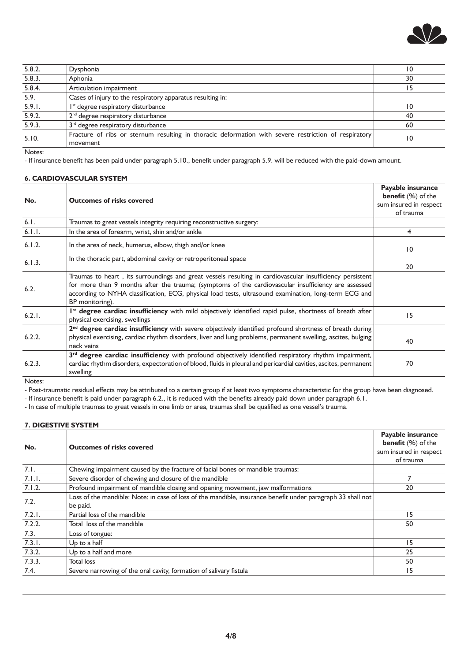

| 5.8.2. | Dysphonia                                                                                                        | 10 |
|--------|------------------------------------------------------------------------------------------------------------------|----|
| 5.8.3. | Aphonia                                                                                                          | 30 |
| 5.8.4. | Articulation impairment                                                                                          | 15 |
| 5.9.   | Cases of injury to the respiratory apparatus resulting in:                                                       |    |
| 5.9.1. | I <sup>st</sup> degree respiratory disturbance                                                                   | 10 |
| 5.9.2. | 2 <sup>nd</sup> degree respiratory disturbance                                                                   | 40 |
| 5.9.3. | 3 <sup>rd</sup> degree respiratory disturbance                                                                   | 60 |
| 5.10.  | Fracture of ribs or sternum resulting in thoracic deformation with severe restriction of respiratory<br>movement | 10 |

- If insurance benefit has been paid under paragraph 5.10., benefit under paragraph 5.9. will be reduced with the paid-down amount.

### **6. CARDIOVASCULAR SYSTEM**

| No.    | <b>Outcomes of risks covered</b>                                                                                                                                                                                                                                                                                                             | Payable insurance<br><b>benefit</b> $(\%)$ of the<br>sum insured in respect<br>of trauma |
|--------|----------------------------------------------------------------------------------------------------------------------------------------------------------------------------------------------------------------------------------------------------------------------------------------------------------------------------------------------|------------------------------------------------------------------------------------------|
| 6.1.   | Traumas to great vessels integrity requiring reconstructive surgery:                                                                                                                                                                                                                                                                         |                                                                                          |
| 6.1.1. | In the area of forearm, wrist, shin and/or ankle                                                                                                                                                                                                                                                                                             | 4                                                                                        |
| 6.1.2. | In the area of neck, humerus, elbow, thigh and/or knee                                                                                                                                                                                                                                                                                       | $\overline{10}$                                                                          |
| 6.1.3. | In the thoracic part, abdominal cavity or retroperitoneal space                                                                                                                                                                                                                                                                              | 20                                                                                       |
| 6.2.   | Traumas to heart, its surroundings and great vessels resulting in cardiovascular insufficiency persistent<br>for more than 9 months after the trauma; (symptoms of the cardiovascular insufficiency are assessed<br>according to NYHA classification, ECG, physical load tests, ultrasound examination, long-term ECG and<br>BP monitoring). |                                                                                          |
| 6.2.1. | I <sup>st</sup> degree cardiac insufficiency with mild objectively identified rapid pulse, shortness of breath after<br>physical exercising, swellings                                                                                                                                                                                       | 15                                                                                       |
| 6.2.2. | 2 <sup>nd</sup> degree cardiac insufficiency with severe objectively identified profound shortness of breath during<br>physical exercising, cardiac rhythm disorders, liver and lung problems, permanent swelling, ascites, bulging<br>neck veins                                                                                            | 40                                                                                       |
| 6.2.3. | 3rd degree cardiac insufficiency with profound objectively identified respiratory rhythm impairment,<br>cardiac rhythm disorders, expectoration of blood, fluids in pleural and pericardial cavities, ascites, permanent<br>swelling                                                                                                         | 70                                                                                       |

Notes:

- Post-traumatic residual effects may be attributed to a certain group if at least two symptoms characteristic for the group have been diagnosed.

- If insurance benefit is paid under paragraph 6.2., it is reduced with the benefits already paid down under paragraph 6.1.

- In case of multiple traumas to great vessels in one limb or area, traumas shall be qualified as one vessel's trauma.

# **7. DIGESTIVE SYSTEM**

| No.    | <b>Outcomes of risks covered</b>                                                                                        | Payable insurance<br><b>benefit</b> $(\%)$ of the<br>sum insured in respect<br>of trauma |
|--------|-------------------------------------------------------------------------------------------------------------------------|------------------------------------------------------------------------------------------|
| 7.1.   | Chewing impairment caused by the fracture of facial bones or mandible traumas:                                          |                                                                                          |
| 7.1.1. | Severe disorder of chewing and closure of the mandible                                                                  |                                                                                          |
| 7.1.2. | Profound impairment of mandible closing and opening movement, jaw malformations                                         | 20                                                                                       |
| 7.2.   | Loss of the mandible: Note: in case of loss of the mandible, insurance benefit under paragraph 33 shall not<br>be paid. |                                                                                          |
| 7.2.1. | Partial loss of the mandible                                                                                            | 15                                                                                       |
| 7.2.2. | Total loss of the mandible                                                                                              | 50                                                                                       |
| 7.3.   | Loss of tongue:                                                                                                         |                                                                                          |
| 7.3.1. | Up to a half                                                                                                            | 15                                                                                       |
| 7.3.2. | Up to a half and more                                                                                                   | 25                                                                                       |
| 7.3.3. | Total loss                                                                                                              | 50                                                                                       |
| 7.4.   | Severe narrowing of the oral cavity, formation of salivary fistula                                                      | 15                                                                                       |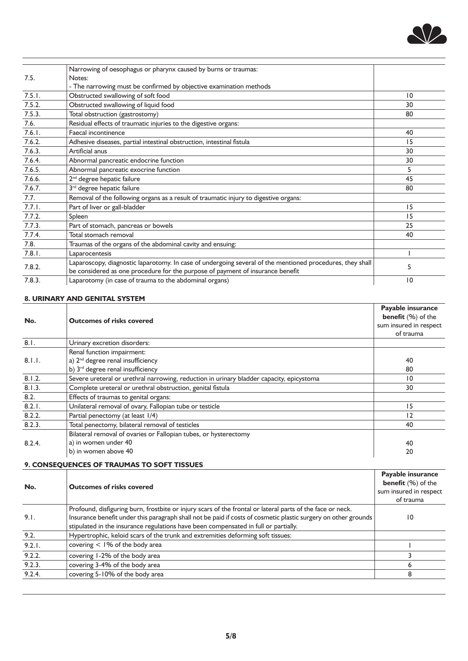

| 7.5.   | Narrowing of oesophagus or pharynx caused by burns or traumas:<br>Notes:                                                                                                                    |                 |
|--------|---------------------------------------------------------------------------------------------------------------------------------------------------------------------------------------------|-----------------|
|        | - The narrowing must be confirmed by objective examination methods                                                                                                                          |                 |
| 7.5.1. | Obstructed swallowing of soft food                                                                                                                                                          | $\overline{10}$ |
| 7.5.2. | Obstructed swallowing of liquid food                                                                                                                                                        | 30              |
| 7.5.3. | Total obstruction (gastrostomy)                                                                                                                                                             | 80              |
| 7.6.   | Residual effects of traumatic injuries to the digestive organs:                                                                                                                             |                 |
| 7.6.1. | Faecal incontinence                                                                                                                                                                         | 40              |
| 7.6.2. | Adhesive diseases, partial intestinal obstruction, intestinal fistula                                                                                                                       | 15              |
| 7.6.3. | Artificial anus                                                                                                                                                                             | 30              |
| 7.6.4. | Abnormal pancreatic endocrine function                                                                                                                                                      | 30              |
| 7.6.5. | Abnormal pancreatic exocrine function                                                                                                                                                       | 5               |
| 7.6.6. | 2 <sup>nd</sup> degree hepatic failure                                                                                                                                                      | 45              |
| 7.6.7. | 3 <sup>rd</sup> degree hepatic failure                                                                                                                                                      | 80              |
| 7.7.   | Removal of the following organs as a result of traumatic injury to digestive organs:                                                                                                        |                 |
| 7.7.1. | Part of liver or gall-bladder                                                                                                                                                               | 15              |
| 7.7.2. | Spleen                                                                                                                                                                                      | 15              |
| 7.7.3. | Part of stomach, pancreas or bowels                                                                                                                                                         | 25              |
| 7.7.4. | Total stomach removal                                                                                                                                                                       | 40              |
| 7.8.   | Traumas of the organs of the abdominal cavity and ensuing:                                                                                                                                  |                 |
| 7.8.1. | Laparocentesis                                                                                                                                                                              |                 |
| 7.8.2. | Laparoscopy, diagnostic laparotomy. In case of undergoing several of the mentioned procedures, they shall<br>be considered as one procedure for the purpose of payment of insurance benefit | 5               |
| 7.8.3. | Laparotomy (in case of trauma to the abdominal organs)                                                                                                                                      | 10              |

## **8. URINARY AND GENITAL SYSTEM**

| No.    | <b>Outcomes of risks covered</b>                                                         | Payable insurance<br><b>benefit</b> $(\%)$ of the<br>sum insured in respect<br>of trauma |
|--------|------------------------------------------------------------------------------------------|------------------------------------------------------------------------------------------|
| 8.1.   | Urinary excretion disorders:                                                             |                                                                                          |
|        | Renal function impairment:                                                               |                                                                                          |
| 8.1.1. | a) 2 <sup>nd</sup> degree renal insufficiency                                            | 40                                                                                       |
|        | b) 3 <sup>rd</sup> degree renal insufficiency                                            | 80                                                                                       |
| 8.1.2. | Severe ureteral or urethral narrowing, reduction in urinary bladder capacity, epicystoma | $\overline{10}$                                                                          |
| 8.1.3. | Complete ureteral or urethral obstruction, genital fistula                               | 30                                                                                       |
| 8.2.   | Effects of traumas to genital organs:                                                    |                                                                                          |
| 8.2.1. | Unilateral removal of ovary, Fallopian tube or testicle                                  | 15                                                                                       |
| 8.2.2. | Partial penectomy (at least 1/4)                                                         | 12                                                                                       |
| 8.2.3. | Total penectomy, bilateral removal of testicles                                          | 40                                                                                       |
|        | Bilateral removal of ovaries or Fallopian tubes, or hysterectomy                         |                                                                                          |
| 8.2.4. | a) in women under 40                                                                     | 40                                                                                       |
|        | b) in women above 40                                                                     | 20                                                                                       |

## **9. CONSEQUENCES OF TRAUMAS TO SOFT TISSUES**

| <b>Outcomes of risks covered</b>                                                                           | Payable insurance<br><b>benefit</b> $(%)$ of the<br>sum insured in respect<br>of trauma                        |
|------------------------------------------------------------------------------------------------------------|----------------------------------------------------------------------------------------------------------------|
| Profound, disfiguring burn, frostbite or injury scars of the frontal or lateral parts of the face or neck. |                                                                                                                |
|                                                                                                            | $\overline{10}$                                                                                                |
| stipulated in the insurance regulations have been compensated in full or partially.                        |                                                                                                                |
| Hypertrophic, keloid scars of the trunk and extremities deforming soft tissues:                            |                                                                                                                |
| covering $<$ 1% of the body area                                                                           |                                                                                                                |
| covering 1-2% of the body area                                                                             |                                                                                                                |
| covering 3-4% of the body area                                                                             | ь                                                                                                              |
| covering 5-10% of the body area                                                                            | 8                                                                                                              |
|                                                                                                            | Insurance benefit under this paragraph shall not be paid if costs of cosmetic plastic surgery on other grounds |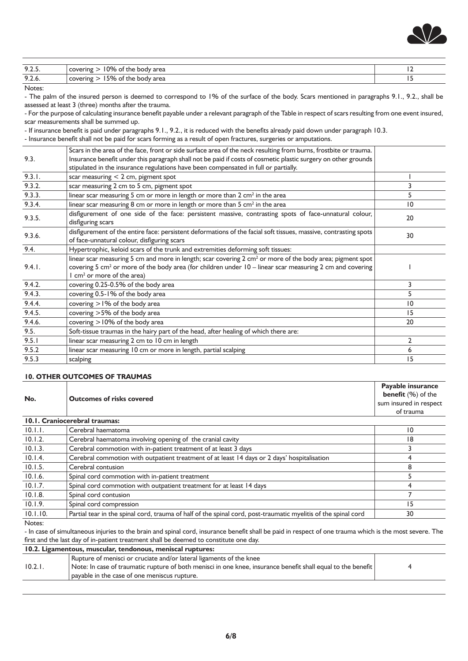

| 9.2.5.      | $10\%$ of the L<br>body area<br><b>COVALIDA</b>                   | . . |
|-------------|-------------------------------------------------------------------|-----|
| ാ<br>7.4.0. | body area<br><b>COVATING</b><br>$\overline{\mathsf{v}}$<br>nt the |     |

- The palm of the insured person is deemed to correspond to 1% of the surface of the body. Scars mentioned in paragraphs 9.1., 9.2., shall be assessed at least 3 (three) months after the trauma.

- For the purpose of calculating insurance benefit payable under a relevant paragraph of the Table in respect of scars resulting from one event insured, scar measurements shall be summed up.

- If insurance benefit is paid under paragraphs 9.1., 9.2., it is reduced with the benefits already paid down under paragraph 10.3.

- Insurance benefit shall not be paid for scars forming as a result of open fractures, surgeries or amputations.

| 9.3.   | Scars in the area of the face, front or side surface area of the neck resulting from burns, frostbite or trauma.<br>Insurance benefit under this paragraph shall not be paid if costs of cosmetic plastic surgery on other grounds<br>stipulated in the insurance regulations have been compensated in full or partially. |                |
|--------|---------------------------------------------------------------------------------------------------------------------------------------------------------------------------------------------------------------------------------------------------------------------------------------------------------------------------|----------------|
| 9.3.1. | scar measuring $< 2$ cm, pigment spot                                                                                                                                                                                                                                                                                     |                |
| 9.3.2. | scar measuring 2 cm to 5 cm, pigment spot                                                                                                                                                                                                                                                                                 | 3              |
| 9.3.3. | linear scar measuring 5 cm or more in length or more than 2 cm <sup>2</sup> in the area                                                                                                                                                                                                                                   | 5              |
| 9.3.4. | linear scar measuring 8 cm or more in length or more than 5 cm <sup>2</sup> in the area                                                                                                                                                                                                                                   | 10             |
| 9.3.5. | disfigurement of one side of the face: persistent massive, contrasting spots of face-unnatural colour,<br>disfiguring scars                                                                                                                                                                                               | 20             |
| 9.3.6. | disfigurement of the entire face: persistent deformations of the facial soft tissues, massive, contrasting spots<br>of face-unnatural colour, disfiguring scars                                                                                                                                                           | 30             |
| 9.4.   | Hypertrophic, keloid scars of the trunk and extremities deforming soft tissues:                                                                                                                                                                                                                                           |                |
| 9.4.1. | linear scar measuring 5 cm and more in length; scar covering 2 cm <sup>2</sup> or more of the body area; pigment spot<br>covering 5 cm <sup>2</sup> or more of the body area (for children under $10 -$ linear scar measuring 2 cm and covering<br>$1 \text{ cm}^2$ or more of the area)                                  |                |
| 9.4.2. | covering 0.25-0.5% of the body area                                                                                                                                                                                                                                                                                       | 3              |
| 9.4.3. | covering 0.5-1% of the body area                                                                                                                                                                                                                                                                                          | 5              |
| 9.4.4. | covering $>1\%$ of the body area                                                                                                                                                                                                                                                                                          | 10             |
| 9.4.5. | covering > 5% of the body area                                                                                                                                                                                                                                                                                            | 15             |
| 9.4.6. | covering >10% of the body area                                                                                                                                                                                                                                                                                            | 20             |
| 9.5.   | Soft-tissue traumas in the hairy part of the head, after healing of which there are:                                                                                                                                                                                                                                      |                |
| 9.5.1  | linear scar measuring 2 cm to 10 cm in length                                                                                                                                                                                                                                                                             | $\overline{2}$ |
| 9.5.2  | linear scar measuring 10 cm or more in length, partial scalping                                                                                                                                                                                                                                                           | 6              |
| 9.5.3  | scalping                                                                                                                                                                                                                                                                                                                  | 15             |

#### **10. OTHER OUTCOMES OF TRAUMAS**

| No.      | <b>Outcomes of risks covered</b>                                                                               | Payable insurance<br>benefit (%) of the |
|----------|----------------------------------------------------------------------------------------------------------------|-----------------------------------------|
|          |                                                                                                                | sum insured in respect                  |
|          |                                                                                                                | of trauma                               |
|          | 10.1. Craniocerebral traumas:                                                                                  |                                         |
| 10.1.1.  | Cerebral haematoma                                                                                             | 10                                      |
| 10.1.2.  | Cerebral haematoma involving opening of the cranial cavity                                                     | 18                                      |
| 10.1.3.  | Cerebral commotion with in-patient treatment of at least 3 days                                                |                                         |
| 10.1.4.  | Cerebral commotion with outpatient treatment of at least 14 days or 2 days' hospitalisation                    | 4                                       |
| 10.1.5.  | Cerebral contusion                                                                                             | 8                                       |
| 10.1.6.  | Spinal cord commotion with in-patient treatment                                                                |                                         |
| 10.1.7.  | Spinal cord commotion with outpatient treatment for at least 14 days                                           | 4                                       |
| 10.1.8.  | Spinal cord contusion                                                                                          |                                         |
| 10.1.9.  | Spinal cord compression                                                                                        | 15                                      |
| 10.1.10. | Partial tear in the spinal cord, trauma of half of the spinal cord, post-traumatic myelitis of the spinal cord | 30                                      |
| Notes:   |                                                                                                                |                                         |

- In case of simultaneous injuries to the brain and spinal cord, insurance benefit shall be paid in respect of one trauma which is the most severe. The first and the last day of in-patient treatment shall be deemed to constitute one day.

| Rupture of menisci or cruciate and/or lateral ligaments of the knee<br>10.2.1<br>Note: In case of traumatic rupture of both menisci in one knee, insurance benefit shall equal to the benefit<br>payable in the case of one meniscus rupture. | 10.2. Ligamentous, muscular, tendonous, meniscal ruptures: |  |  |
|-----------------------------------------------------------------------------------------------------------------------------------------------------------------------------------------------------------------------------------------------|------------------------------------------------------------|--|--|
|                                                                                                                                                                                                                                               |                                                            |  |  |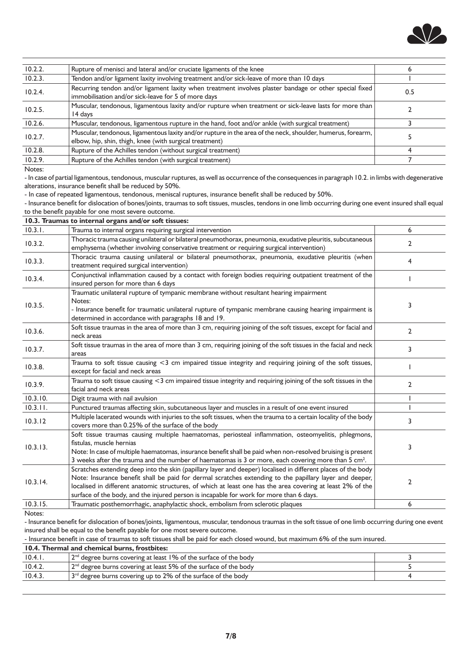

| 10.2.2. | Rupture of menisci and lateral and/or cruciate ligaments of the knee                                                                                                   |     |
|---------|------------------------------------------------------------------------------------------------------------------------------------------------------------------------|-----|
| 10.2.3. | Tendon and/or ligament laxity involving treatment and/or sick-leave of more than 10 days                                                                               |     |
| 10.2.4. | Recurring tendon and/or ligament laxity when treatment involves plaster bandage or other special fixed<br>immobilisation and/or sick-leave for 5 of more days          | 0.5 |
| 10.2.5. | Muscular, tendonous, ligamentous laxity and/or rupture when treatment or sick-leave lasts for more than<br>14 days                                                     |     |
| 10.2.6. | Muscular, tendonous, ligamentous rupture in the hand, foot and/or ankle (with surgical treatment)                                                                      |     |
| 10.2.7. | Muscular, tendonous, ligamentous laxity and/or rupture in the area of the neck, shoulder, humerus, forearm,<br>elbow, hip, shin, thigh, knee (with surgical treatment) |     |
| 10.2.8. | Rupture of the Achilles tendon (without surgical treatment)                                                                                                            |     |
| 10.2.9. | Rupture of the Achilles tendon (with surgical treatment)                                                                                                               |     |

- In case of partial ligamentous, tendonous, muscular ruptures, as well as occurrence of the consequences in paragraph 10.2. in limbs with degenerative alterations, insurance benefit shall be reduced by 50%.

- In case of repeated ligamentous, tendonous, meniscal ruptures, insurance benefit shall be reduced by 50%.

- Insurance benefit for dislocation of bones/joints, traumas to soft tissues, muscles, tendons in one limb occurring during one event insured shall equal to the benefit payable for one most severe outcome.

|          | 10.3. Traumas to internal organs and/or soft tissues:                                                                                                                                                                                                                                                                                                                                                                             |                |
|----------|-----------------------------------------------------------------------------------------------------------------------------------------------------------------------------------------------------------------------------------------------------------------------------------------------------------------------------------------------------------------------------------------------------------------------------------|----------------|
| 10.3.1.  | Trauma to internal organs requiring surgical intervention                                                                                                                                                                                                                                                                                                                                                                         | 6              |
| 10.3.2.  | Thoracic trauma causing unilateral or bilateral pneumothorax, pneumonia, exudative pleuritis, subcutaneous<br>emphysema (whether involving conservative treatment or requiring surgical intervention)                                                                                                                                                                                                                             | $\mathbf{2}$   |
| 10.3.3.  | Thoracic trauma causing unilateral or bilateral pneumothorax, pneumonia, exudative pleuritis (when<br>treatment required surgical intervention)                                                                                                                                                                                                                                                                                   | 4              |
| 10.3.4.  | Conjunctival inflammation caused by a contact with foreign bodies requiring outpatient treatment of the<br>insured person for more than 6 days                                                                                                                                                                                                                                                                                    |                |
| 10.3.5.  | Traumatic unilateral rupture of tympanic membrane without resultant hearing impairment<br>Notes:<br>- Insurance benefit for traumatic unilateral rupture of tympanic membrane causing hearing impairment is<br>determined in accordance with paragraphs 18 and 19.                                                                                                                                                                | 3              |
| 10.3.6.  | Soft tissue traumas in the area of more than 3 cm, requiring joining of the soft tissues, except for facial and<br>neck areas                                                                                                                                                                                                                                                                                                     | $\overline{2}$ |
| 10.3.7.  | Soft tissue traumas in the area of more than 3 cm, requiring joining of the soft tissues in the facial and neck<br>areas                                                                                                                                                                                                                                                                                                          | 3              |
| 10.3.8.  | Trauma to soft tissue causing $\lt 3$ cm impaired tissue integrity and requiring joining of the soft tissues,<br>except for facial and neck areas                                                                                                                                                                                                                                                                                 |                |
| 10.3.9.  | Trauma to soft tissue causing $<$ 3 cm impaired tissue integrity and requiring joining of the soft tissues in the<br>facial and neck areas                                                                                                                                                                                                                                                                                        | $\overline{2}$ |
| 10.3.10. | Digit trauma with nail avulsion                                                                                                                                                                                                                                                                                                                                                                                                   |                |
| 10.3.11. | Punctured traumas affecting skin, subcutaneous layer and muscles in a result of one event insured                                                                                                                                                                                                                                                                                                                                 |                |
| 10.3.12  | Multiple lacerated wounds with injuries to the soft tissues, when the trauma to a certain locality of the body<br>covers more than 0.25% of the surface of the body                                                                                                                                                                                                                                                               | 3              |
| 10.3.13. | Soft tissue traumas causing multiple haematomas, periosteal inflammation, osteomyelitis, phlegmons,<br>fistulas, muscle hernias<br>Note: In case of multiple haematomas, insurance benefit shall be paid when non-resolved bruising is present<br>3 weeks after the trauma and the number of haematomas is 3 or more, each covering more than 5 cm <sup>2</sup> .                                                                 | 3              |
| 10.3.14. | Scratches extending deep into the skin (papillary layer and deeper) localised in different places of the body<br>Note: Insurance benefit shall be paid for dermal scratches extending to the papillary layer and deeper,<br>localised in different anatomic structures, of which at least one has the area covering at least 2% of the<br>surface of the body, and the injured person is incapable for work for more than 6 days. | $\overline{2}$ |
| 10.3.15. | Traumatic posthemorrhagic, anaphylactic shock, embolism from sclerotic plaques                                                                                                                                                                                                                                                                                                                                                    | 6              |

Notes:

- Insurance benefit for dislocation of bones/joints, ligamentous, muscular, tendonous traumas in the soft tissue of one limb occurring during one event insured shall be equal to the benefit payable for one most severe outcome.

- Insurance benefit in case of traumas to soft tissues shall be paid for each closed wound, but maximum 6% of the sum insured. **10.4. Thermal and chemical burns, frostbites:** 

| TU.4. Thermal and chemical burns, irostbites: |                                                                               |  |
|-----------------------------------------------|-------------------------------------------------------------------------------|--|
| 10.4.1.                                       | 12 <sup>nd</sup> degree burns covering at least 1% of the surface of the body |  |
| 10.4.2.                                       | 2 <sup>nd</sup> degree burns covering at least 5% of the surface of the body  |  |
| 10.4.3.                                       | 3 <sup>rd</sup> degree burns covering up to 2% of the surface of the body     |  |
|                                               |                                                                               |  |